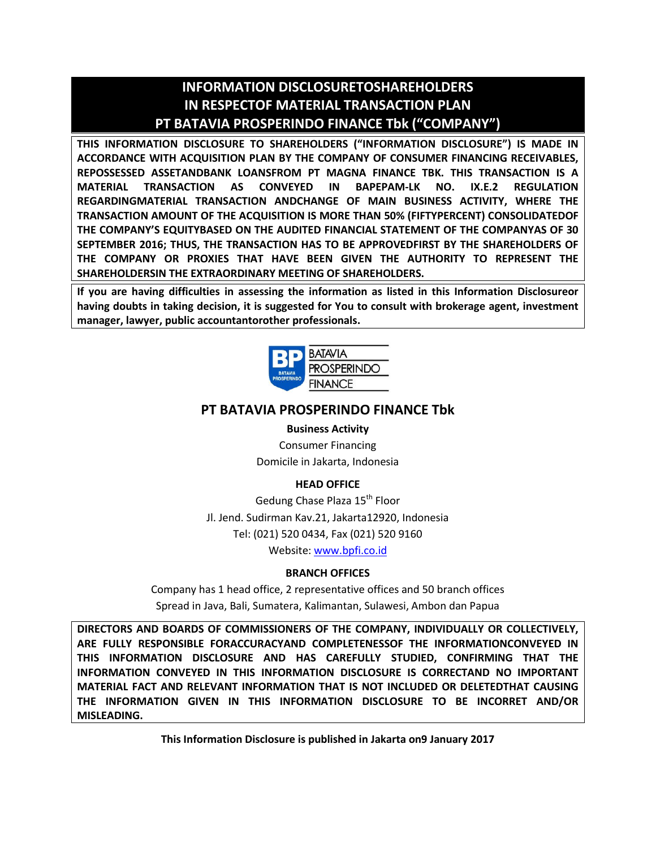## **INFORMATION DISCLOSURETOSHAREHOLDERS IN RESPECTOF MATERIAL TRANSACTION PLAN PT BATAVIA PROSPERINDO FINANCE Tbk ("COMPANY")**

**THIS INFORMATION DISCLOSURE TO SHAREHOLDERS ("INFORMATION DISCLOSURE") IS MADE IN ACCORDANCE WITH ACQUISITION PLAN BY THE COMPANY OF CONSUMER FINANCING RECEIVABLES, REPOSSESSED ASSETANDBANK LOANSFROM PT MAGNA FINANCE TBK. THIS TRANSACTION IS A MATERIAL TRANSACTION AS CONVEYED IN BAPEPAM-LK NO. IX.E.2 REGULATION REGARDINGMATERIAL TRANSACTION ANDCHANGE OF MAIN BUSINESS ACTIVITY, WHERE THE TRANSACTION AMOUNT OF THE ACQUISITION IS MORE THAN 50% (FIFTYPERCENT) CONSOLIDATEDOF THE COMPANY'S EQUITYBASED ON THE AUDITED FINANCIAL STATEMENT OF THE COMPANYAS OF 30 SEPTEMBER 2016; THUS, THE TRANSACTION HAS TO BE APPROVEDFIRST BY THE SHAREHOLDERS OF THE COMPANY OR PROXIES THAT HAVE BEEN GIVEN THE AUTHORITY TO REPRESENT THE SHAREHOLDERSIN THE EXTRAORDINARY MEETING OF SHAREHOLDERS.**

**If you are having difficulties in assessing the information as listed in this Information Disclosureor having doubts in taking decision, it is suggested for You to consult with brokerage agent, investment manager, lawyer, public accountantorother professionals.**



## **PT BATAVIA PROSPERINDO FINANCE Tbk**

## **Business Activity**

Consumer Financing Domicile in Jakarta, Indonesia

## **HEAD OFFICE**

Gedung Chase Plaza 15<sup>th</sup> Floor Jl. Jend. Sudirman Kav.21, Jakarta12920, Indonesia Tel: (021) 520 0434, Fax (021) 520 9160 Website: www.bpfi.co.id

## **BRANCH OFFICES**

Company has 1 head office, 2 representative offices and 50 branch offices Spread in Java, Bali, Sumatera, Kalimantan, Sulawesi, Ambon dan Papua

**DIRECTORS AND BOARDS OF COMMISSIONERS OF THE COMPANY, INDIVIDUALLY OR COLLECTIVELY, ARE FULLY RESPONSIBLE FORACCURACYAND COMPLETENESSOF THE INFORMATIONCONVEYED IN THIS INFORMATION DISCLOSURE AND HAS CAREFULLY STUDIED, CONFIRMING THAT THE INFORMATION CONVEYED IN THIS INFORMATION DISCLOSURE IS CORRECTAND NO IMPORTANT MATERIAL FACT AND RELEVANT INFORMATION THAT IS NOT INCLUDED OR DELETEDTHAT CAUSING THE INFORMATION GIVEN IN THIS INFORMATION DISCLOSURE TO BE INCORRET AND/OR MISLEADING.**

**This Information Disclosure is published in Jakarta on9 January 2017**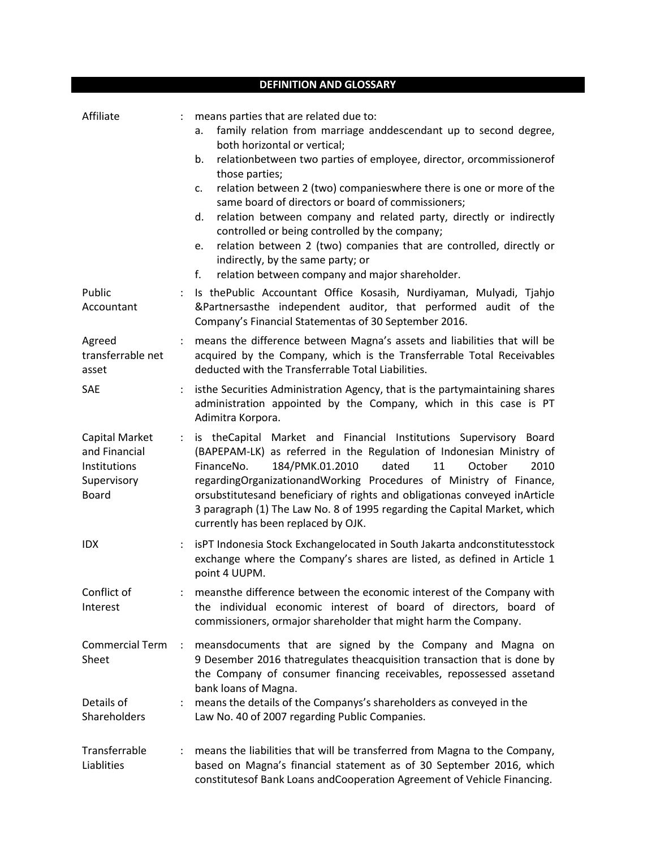|                                                                                | <b>DEFINITION AND GLOSSARY</b>                                                                                                                                                                                                                                                                                                                                                                                                                                                                                                                                                                                                                                                                                      |
|--------------------------------------------------------------------------------|---------------------------------------------------------------------------------------------------------------------------------------------------------------------------------------------------------------------------------------------------------------------------------------------------------------------------------------------------------------------------------------------------------------------------------------------------------------------------------------------------------------------------------------------------------------------------------------------------------------------------------------------------------------------------------------------------------------------|
| Affiliate                                                                      | means parties that are related due to:<br>$\ddot{\phantom{0}}$<br>family relation from marriage anddescendant up to second degree,<br>a.<br>both horizontal or vertical;<br>relationbetween two parties of employee, director, orcommissionerof<br>b.<br>those parties;<br>relation between 2 (two) companieswhere there is one or more of the<br>c.<br>same board of directors or board of commissioners;<br>relation between company and related party, directly or indirectly<br>d.<br>controlled or being controlled by the company;<br>relation between 2 (two) companies that are controlled, directly or<br>e.<br>indirectly, by the same party; or<br>relation between company and major shareholder.<br>f. |
| Public<br>Accountant                                                           | Is the Public Accountant Office Kosasih, Nurdiyaman, Mulyadi, Tjahjo<br>$\ddot{\phantom{0}}$<br>&Partnersasthe independent auditor, that performed audit of the<br>Company's Financial Statementas of 30 September 2016.                                                                                                                                                                                                                                                                                                                                                                                                                                                                                            |
| Agreed<br>transferrable net<br>asset                                           | means the difference between Magna's assets and liabilities that will be<br>$\ddot{\phantom{0}}$<br>acquired by the Company, which is the Transferrable Total Receivables<br>deducted with the Transferrable Total Liabilities.                                                                                                                                                                                                                                                                                                                                                                                                                                                                                     |
| <b>SAE</b>                                                                     | isthe Securities Administration Agency, that is the partymaintaining shares<br>$\ddot{\phantom{a}}$<br>administration appointed by the Company, which in this case is PT<br>Adimitra Korpora.                                                                                                                                                                                                                                                                                                                                                                                                                                                                                                                       |
| Capital Market<br>and Financial<br>Institutions<br>Supervisory<br><b>Board</b> | is theCapital Market and Financial Institutions Supervisory<br>$\ddot{\cdot}$<br>Board<br>(BAPEPAM-LK) as referred in the Regulation of Indonesian Ministry of<br>FinanceNo.<br>184/PMK.01.2010<br>dated<br>11<br>October<br>2010<br>regardingOrganizationandWorking Procedures of Ministry of Finance,<br>orsubstitutesand beneficiary of rights and obligationas conveyed inArticle<br>3 paragraph (1) The Law No. 8 of 1995 regarding the Capital Market, which<br>currently has been replaced by OJK.                                                                                                                                                                                                           |
| IDX                                                                            | isPT Indonesia Stock Exchangelocated in South Jakarta andconstitutesstock<br>exchange where the Company's shares are listed, as defined in Article 1<br>point 4 UUPM.                                                                                                                                                                                                                                                                                                                                                                                                                                                                                                                                               |
| Conflict of<br>Interest                                                        | meansthe difference between the economic interest of the Company with<br>the individual economic interest of board of directors, board of<br>commissioners, ormajor shareholder that might harm the Company.                                                                                                                                                                                                                                                                                                                                                                                                                                                                                                        |
| <b>Commercial Term</b><br>Sheet<br>Details of                                  | meansdocuments that are signed by the Company and Magna on<br>$\ddot{\phantom{a}}$<br>9 Desember 2016 thatregulates theacquisition transaction that is done by<br>the Company of consumer financing receivables, repossessed assetand<br>bank loans of Magna.<br>means the details of the Companys's shareholders as conveyed in the                                                                                                                                                                                                                                                                                                                                                                                |
| Shareholders                                                                   | Law No. 40 of 2007 regarding Public Companies.                                                                                                                                                                                                                                                                                                                                                                                                                                                                                                                                                                                                                                                                      |
| Transferrable<br>Liablities                                                    | means the liabilities that will be transferred from Magna to the Company,<br>based on Magna's financial statement as of 30 September 2016, which<br>constitutesof Bank Loans and Cooperation Agreement of Vehicle Financing.                                                                                                                                                                                                                                                                                                                                                                                                                                                                                        |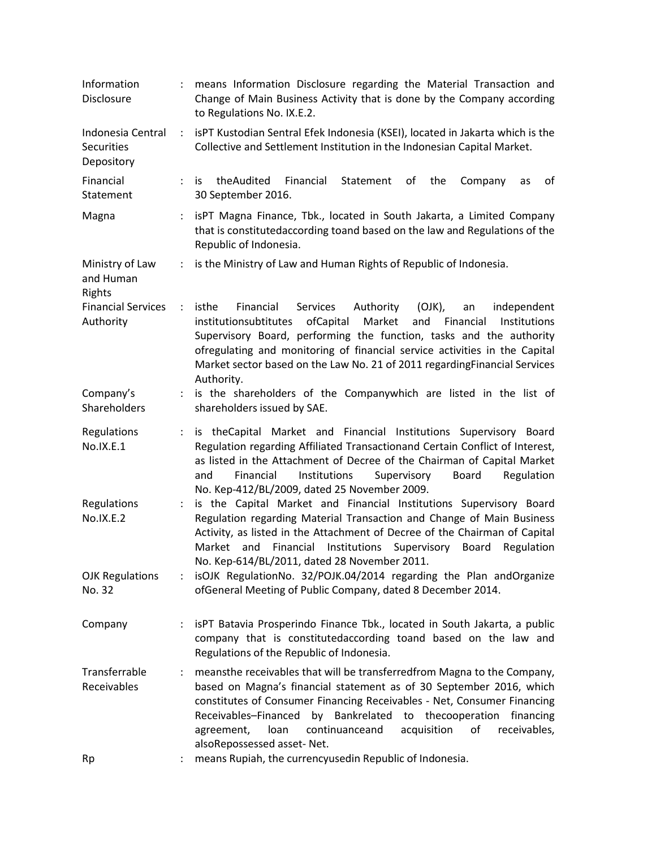|                      | means Information Disclosure regarding the Material Transaction and<br>Change of Main Business Activity that is done by the Company according<br>to Regulations No. IX.E.2.                                                                                                                                                                                                                                                                                                    |
|----------------------|--------------------------------------------------------------------------------------------------------------------------------------------------------------------------------------------------------------------------------------------------------------------------------------------------------------------------------------------------------------------------------------------------------------------------------------------------------------------------------|
| ÷                    | isPT Kustodian Sentral Efek Indonesia (KSEI), located in Jakarta which is the<br>Collective and Settlement Institution in the Indonesian Capital Market.                                                                                                                                                                                                                                                                                                                       |
| $\ddot{\phantom{0}}$ | theAudited<br>Financial<br>Statement<br>of<br>the<br>Company<br>οf<br>is.<br>as<br>30 September 2016.                                                                                                                                                                                                                                                                                                                                                                          |
| ÷                    | isPT Magna Finance, Tbk., located in South Jakarta, a Limited Company<br>that is constitutedaccording toand based on the law and Regulations of the<br>Republic of Indonesia.                                                                                                                                                                                                                                                                                                  |
| $\ddot{\phantom{a}}$ | is the Ministry of Law and Human Rights of Republic of Indonesia.                                                                                                                                                                                                                                                                                                                                                                                                              |
| $\ddot{\phantom{0}}$ | isthe<br><b>Services</b><br>Authority<br>$(OJK)$ ,<br>Financial<br>independent<br>an<br>Market<br>institutionsubtitutes<br>ofCapital<br>and<br>Financial<br>Institutions<br>Supervisory Board, performing the function, tasks and the authority<br>ofregulating and monitoring of financial service activities in the Capital<br>Market sector based on the Law No. 21 of 2011 regardingFinancial Services<br>Authority.                                                       |
| ÷.                   | is the shareholders of the Companywhich are listed in the list of<br>shareholders issued by SAE.                                                                                                                                                                                                                                                                                                                                                                               |
| ÷.                   | is theCapital Market and Financial Institutions Supervisory Board<br>Regulation regarding Affiliated Transactionand Certain Conflict of Interest,<br>as listed in the Attachment of Decree of the Chairman of Capital Market<br>Institutions<br>Supervisory<br>Board<br>Regulation<br>and<br>Financial<br>No. Kep-412/BL/2009, dated 25 November 2009.                                                                                                                         |
| $\ddot{\phantom{a}}$ | is the Capital Market and Financial Institutions Supervisory Board<br>Regulation regarding Material Transaction and Change of Main Business<br>Activity, as listed in the Attachment of Decree of the Chairman of Capital<br>Market and Financial Institutions Supervisory Board<br>Regulation<br>No. Kep-614/BL/2011, dated 28 November 2011.                                                                                                                                 |
|                      | isOJK RegulationNo. 32/POJK.04/2014 regarding the Plan andOrganize<br>ofGeneral Meeting of Public Company, dated 8 December 2014.                                                                                                                                                                                                                                                                                                                                              |
| ÷                    | isPT Batavia Prosperindo Finance Tbk., located in South Jakarta, a public<br>company that is constitutedaccording toand based on the law and<br>Regulations of the Republic of Indonesia.                                                                                                                                                                                                                                                                                      |
| $\ddot{\phantom{0}}$ | meansthe receivables that will be transferredfrom Magna to the Company,<br>based on Magna's financial statement as of 30 September 2016, which<br>constitutes of Consumer Financing Receivables - Net, Consumer Financing<br>Receivables-Financed<br>Bankrelated<br>to thecooperation<br>by<br>financing<br>continuanceand<br>acquisition<br>of<br>receivables,<br>agreement,<br>loan<br>alsoRepossessed asset-Net.<br>means Rupiah, the currencyusedin Republic of Indonesia. |
|                      |                                                                                                                                                                                                                                                                                                                                                                                                                                                                                |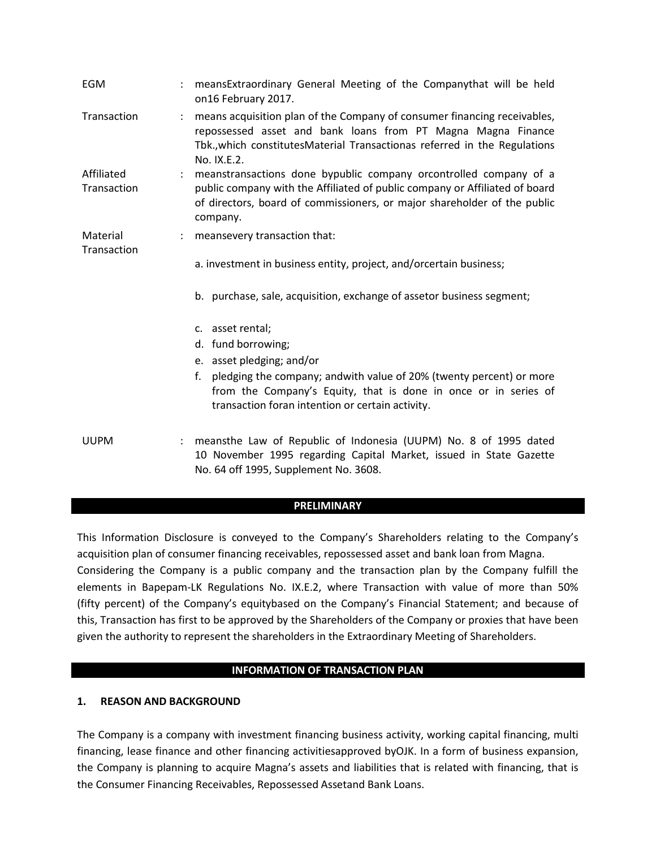| <b>EGM</b>                |                      | meansExtraordinary General Meeting of the Companythat will be held<br>on16 February 2017.                                                                                                                                                |
|---------------------------|----------------------|------------------------------------------------------------------------------------------------------------------------------------------------------------------------------------------------------------------------------------------|
| Transaction               |                      | means acquisition plan of the Company of consumer financing receivables,<br>repossessed asset and bank loans from PT Magna Magna Finance<br>Tbk., which constitutes Material Transactionas referred in the Regulations<br>No. IX.E.2.    |
| Affiliated<br>Transaction | $\ddot{\phantom{a}}$ | meanstransactions done bypublic company orcontrolled company of a<br>public company with the Affiliated of public company or Affiliated of board<br>of directors, board of commissioners, or major shareholder of the public<br>company. |
| Material<br>Transaction   |                      | meansevery transaction that:                                                                                                                                                                                                             |
|                           |                      | a. investment in business entity, project, and/orcertain business;                                                                                                                                                                       |
|                           |                      | b. purchase, sale, acquisition, exchange of assetor business segment;                                                                                                                                                                    |
|                           |                      | c. asset rental;                                                                                                                                                                                                                         |
|                           |                      | d. fund borrowing;                                                                                                                                                                                                                       |
|                           |                      | e. asset pledging; and/or                                                                                                                                                                                                                |
|                           |                      | f.<br>pledging the company; andwith value of 20% (twenty percent) or more<br>from the Company's Equity, that is done in once or in series of<br>transaction foran intention or certain activity.                                         |
| <b>UUPM</b>               | $\ddot{\phantom{0}}$ | meansthe Law of Republic of Indonesia (UUPM) No. 8 of 1995 dated<br>10 November 1995 regarding Capital Market, issued in State Gazette<br>No. 64 off 1995, Supplement No. 3608.                                                          |

## **PRELIMINARY**

This Information Disclosure is conveyed to the Company's Shareholders relating to the Company's acquisition plan of consumer financing receivables, repossessed asset and bank loan from Magna. Considering the Company is a public company and the transaction plan by the Company fulfill the elements in Bapepam-LK Regulations No. IX.E.2, where Transaction with value of more than 50% (fifty percent) of the Company's equitybased on the Company's Financial Statement; and because of this, Transaction has first to be approved by the Shareholders of the Company or proxies that have been given the authority to represent the shareholders in the Extraordinary Meeting of Shareholders.

#### **INFORMATION OF TRANSACTION PLAN**

#### **1. REASON AND BACKGROUND**

The Company is a company with investment financing business activity, working capital financing, multi financing, lease finance and other financing activitiesapproved byOJK. In a form of business expansion, the Company is planning to acquire Magna's assets and liabilities that is related with financing, that is the Consumer Financing Receivables, Repossessed Assetand Bank Loans.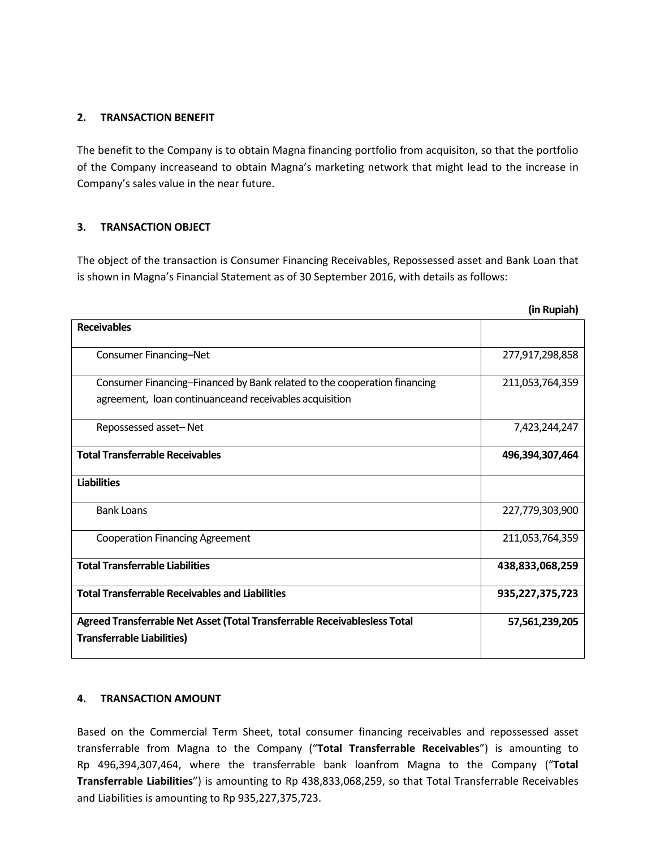## **2. TRANSACTION BENEFIT**

The benefit to the Company is to obtain Magna financing portfolio from acquisiton, so that the portfolio of the Company increaseand to obtain Magna's marketing network that might lead to the increase in Company's sales value in the near future.

## **3. TRANSACTION OBJECT**

The object of the transaction is Consumer Financing Receivables, Repossessed asset and Bank Loan that is shown in Magna's Financial Statement as of 30 September 2016, with details as follows:

|                                                                                                                                    | (in Rupiah)     |
|------------------------------------------------------------------------------------------------------------------------------------|-----------------|
| <b>Receivables</b>                                                                                                                 |                 |
| Consumer Financing-Net                                                                                                             | 277,917,298,858 |
| Consumer Financing-Financed by Bank related to the cooperation financing<br>agreement, loan continuanceand receivables acquisition | 211,053,764,359 |
| Repossessed asset-Net                                                                                                              | 7,423,244,247   |
| <b>Total Transferrable Receivables</b>                                                                                             | 496,394,307,464 |
| <b>Liabilities</b>                                                                                                                 |                 |
| <b>Bank Loans</b>                                                                                                                  | 227,779,303,900 |
| <b>Cooperation Financing Agreement</b>                                                                                             | 211,053,764,359 |
| <b>Total Transferrable Liabilities</b>                                                                                             | 438,833,068,259 |
| <b>Total Transferrable Receivables and Liabilities</b>                                                                             | 935,227,375,723 |
| Agreed Transferrable Net Asset (Total Transferrable Receivablesless Total<br><b>Transferrable Liabilities)</b>                     | 57,561,239,205  |

## **4. TRANSACTION AMOUNT**

Based on the Commercial Term Sheet, total consumer financing receivables and repossessed asset transferrable from Magna to the Company ("**Total Transferrable Receivables**") is amounting to Rp 496,394,307,464, where the transferrable bank loanfrom Magna to the Company ("**Total Transferrable Liabilities**") is amounting to Rp 438,833,068,259, so that Total Transferrable Receivables and Liabilities is amounting to Rp 935,227,375,723.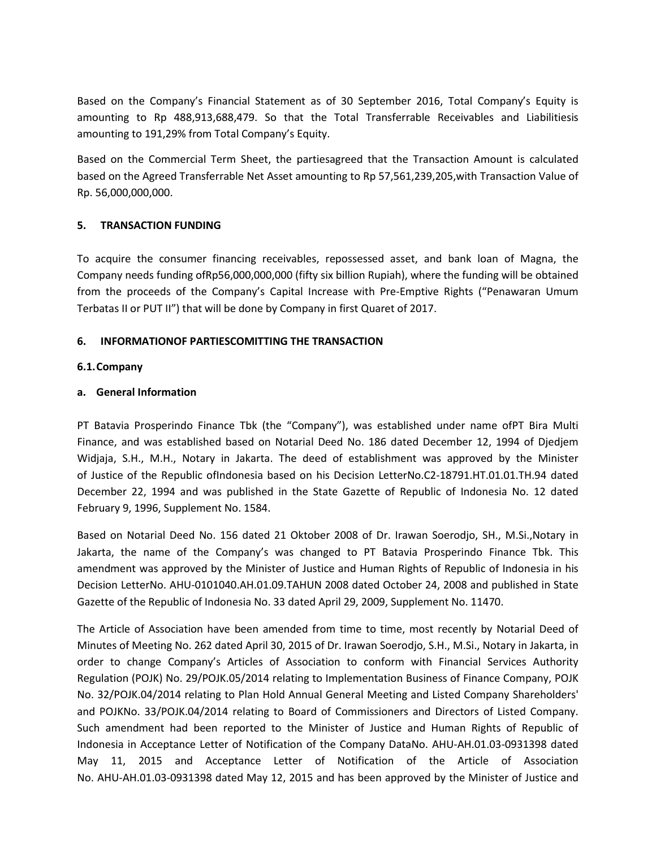Based on the Company's Financial Statement as of 30 September 2016, Total Company's Equity is amounting to Rp 488,913,688,479. So that the Total Transferrable Receivables and Liabilitiesis amounting to 191,29% from Total Company's Equity.

Based on the Commercial Term Sheet, the partiesagreed that the Transaction Amount is calculated based on the Agreed Transferrable Net Asset amounting to Rp 57,561,239,205,with Transaction Value of Rp. 56,000,000,000.

## **5. TRANSACTION FUNDING**

To acquire the consumer financing receivables, repossessed asset, and bank loan of Magna, the Company needs funding ofRp56,000,000,000 (fifty six billion Rupiah), where the funding will be obtained from the proceeds of the Company's Capital Increase with Pre-Emptive Rights ("Penawaran Umum Terbatas II or PUT II") that will be done by Company in first Quaret of 2017.

## **6. INFORMATIONOF PARTIESCOMITTING THE TRANSACTION**

## **6.1.Company**

## **a. General Information**

PT Batavia Prosperindo Finance Tbk (the "Company"), was established under name ofPT Bira Multi Finance, and was established based on Notarial Deed No. 186 dated December 12, 1994 of Djedjem Widjaja, S.H., M.H., Notary in Jakarta. The deed of establishment was approved by the Minister of Justice of the Republic ofIndonesia based on his Decision LetterNo.C2-18791.HT.01.01.TH.94 dated December 22, 1994 and was published in the State Gazette of Republic of Indonesia No. 12 dated February 9, 1996, Supplement No. 1584.

Based on Notarial Deed No. 156 dated 21 Oktober 2008 of Dr. Irawan Soerodjo, SH., M.Si.,Notary in Jakarta, the name of the Company's was changed to PT Batavia Prosperindo Finance Tbk. This amendment was approved by the Minister of Justice and Human Rights of Republic of Indonesia in his Decision LetterNo. AHU-0101040.AH.01.09.TAHUN 2008 dated October 24, 2008 and published in State Gazette of the Republic of Indonesia No. 33 dated April 29, 2009, Supplement No. 11470.

The Article of Association have been amended from time to time, most recently by Notarial Deed of Minutes of Meeting No. 262 dated April 30, 2015 of Dr. Irawan Soerodjo, S.H., M.Si., Notary in Jakarta, in order to change Company's Articles of Association to conform with Financial Services Authority Regulation (POJK) No. 29/POJK.05/2014 relating to Implementation Business of Finance Company, POJK No. 32/POJK.04/2014 relating to Plan Hold Annual General Meeting and Listed Company Shareholders' and POJKNo. 33/POJK.04/2014 relating to Board of Commissioners and Directors of Listed Company. Such amendment had been reported to the Minister of Justice and Human Rights of Republic of Indonesia in Acceptance Letter of Notification of the Company DataNo. AHU-AH.01.03-0931398 dated May 11, 2015 and Acceptance Letter of Notification of the Article of Association No. AHU-AH.01.03-0931398 dated May 12, 2015 and has been approved by the Minister of Justice and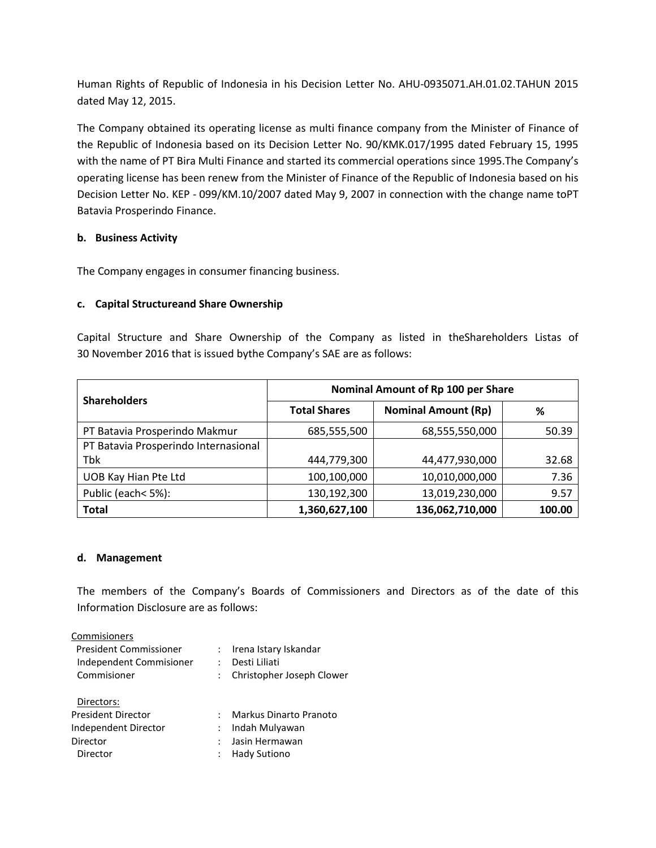Human Rights of Republic of Indonesia in his Decision Letter No. AHU-0935071.AH.01.02.TAHUN 2015 dated May 12, 2015.

The Company obtained its operating license as multi finance company from the Minister of Finance of the Republic of Indonesia based on its Decision Letter No. 90/KMK.017/1995 dated February 15, 1995 with the name of PT Bira Multi Finance and started its commercial operations since 1995.The Company's operating license has been renew from the Minister of Finance of the Republic of Indonesia based on his Decision Letter No. KEP - 099/KM.10/2007 dated May 9, 2007 in connection with the change name toPT Batavia Prosperindo Finance.

## **b. Business Activity**

The Company engages in consumer financing business.

## **c. Capital Structureand Share Ownership**

Capital Structure and Share Ownership of the Company as listed in theShareholders Listas of 30 November 2016 that is issued bythe Company's SAE are as follows:

|                                      | Nominal Amount of Rp 100 per Share |                            |        |  |  |
|--------------------------------------|------------------------------------|----------------------------|--------|--|--|
| <b>Shareholders</b>                  | <b>Total Shares</b>                | <b>Nominal Amount (Rp)</b> | %      |  |  |
| PT Batavia Prosperindo Makmur        | 685,555,500                        | 68,555,550,000             |        |  |  |
| PT Batavia Prosperindo Internasional |                                    |                            |        |  |  |
| Tbk                                  | 444,779,300                        | 44,477,930,000             | 32.68  |  |  |
| UOB Kay Hian Pte Ltd                 | 100,100,000                        | 10,010,000,000             | 7.36   |  |  |
| Public (each< 5%):                   | 130,192,300                        | 13,019,230,000             | 9.57   |  |  |
| <b>Total</b>                         | 1,360,627,100                      | 136,062,710,000            | 100.00 |  |  |

## **d. Management**

The members of the Company's Boards of Commissioners and Directors as of the date of this Information Disclosure are as follows:

| Commisioners                  |                           |
|-------------------------------|---------------------------|
| <b>President Commissioner</b> | : Irena Istary Iskandar   |
| Independent Commisioner       | Desti Liliati             |
| Commisioner                   | Christopher Joseph Clower |
| Directors:                    |                           |
| <b>President Director</b>     | Markus Dinarto Pranoto    |
| Independent Director          | Indah Mulyawan            |
| Director                      | Jasin Hermawan            |
| Director                      | Hady Sutiono              |
|                               |                           |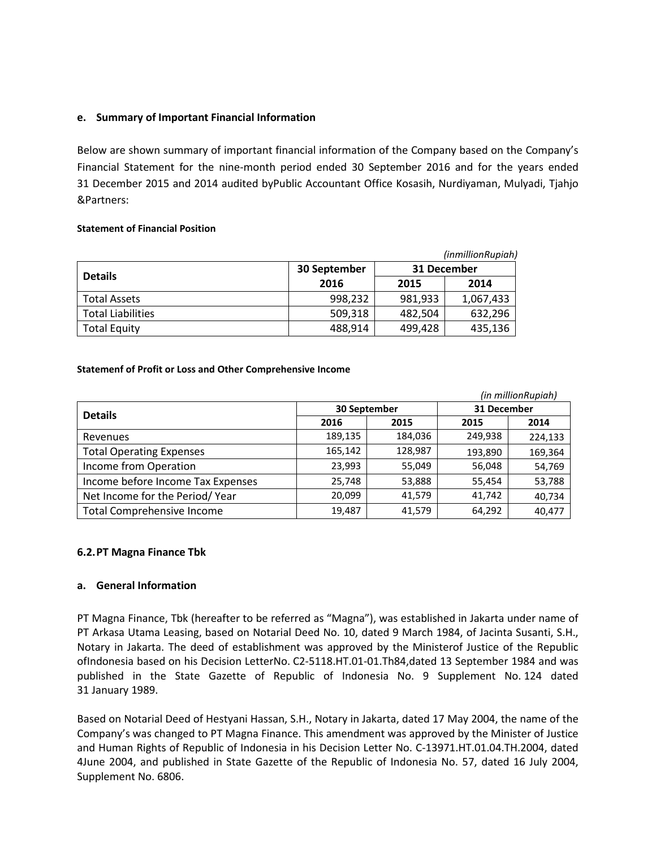## **e. Summary of Important Financial Information**

Below are shown summary of important financial information of the Company based on the Company's Financial Statement for the nine-month period ended 30 September 2016 and for the years ended 31 December 2015 and 2014 audited byPublic Accountant Office Kosasih, Nurdiyaman, Mulyadi, Tjahjo &Partners:

#### **Statement of Financial Position**

| (inmillionRupiah)        |              |         |             |  |  |
|--------------------------|--------------|---------|-------------|--|--|
|                          | 30 September |         | 31 December |  |  |
| <b>Details</b>           | 2016         | 2015    | 2014        |  |  |
| <b>Total Assets</b>      | 998,232      | 981,933 | 1,067,433   |  |  |
| <b>Total Liabilities</b> | 509,318      | 482,504 | 632,296     |  |  |
| <b>Total Equity</b>      | 488,914      | 499,428 | 435,136     |  |  |

#### **Statemenf of Profit or Loss and Other Comprehensive Income**

|                                   |              |         |             | (in millionRupiah) |
|-----------------------------------|--------------|---------|-------------|--------------------|
| <b>Details</b>                    | 30 September |         | 31 December |                    |
|                                   | 2016         | 2015    | 2015        | 2014               |
| Revenues                          | 189,135      | 184,036 | 249,938     | 224,133            |
| <b>Total Operating Expenses</b>   | 165,142      | 128,987 | 193,890     | 169,364            |
| Income from Operation             | 23,993       | 55,049  | 56,048      | 54,769             |
| Income before Income Tax Expenses | 25,748       | 53,888  | 55,454      | 53,788             |
| Net Income for the Period/Year    | 20,099       | 41,579  | 41,742      | 40,734             |
| <b>Total Comprehensive Income</b> | 19,487       | 41,579  | 64,292      | 40,477             |

## **6.2.PT Magna Finance Tbk**

## **a. General Information**

PT Magna Finance, Tbk (hereafter to be referred as "Magna"), was established in Jakarta under name of PT Arkasa Utama Leasing, based on Notarial Deed No. 10, dated 9 March 1984, of Jacinta Susanti, S.H., Notary in Jakarta. The deed of establishment was approved by the Ministerof Justice of the Republic ofIndonesia based on his Decision LetterNo. C2-5118.HT.01-01.Th84,dated 13 September 1984 and was published in the State Gazette of Republic of Indonesia No. 9 Supplement No. 124 dated 31 January 1989.

Based on Notarial Deed of Hestyani Hassan, S.H., Notary in Jakarta, dated 17 May 2004, the name of the Company's was changed to PT Magna Finance. This amendment was approved by the Minister of Justice and Human Rights of Republic of Indonesia in his Decision Letter No. C-13971.HT.01.04.TH.2004, dated 4June 2004, and published in State Gazette of the Republic of Indonesia No. 57, dated 16 July 2004, Supplement No. 6806.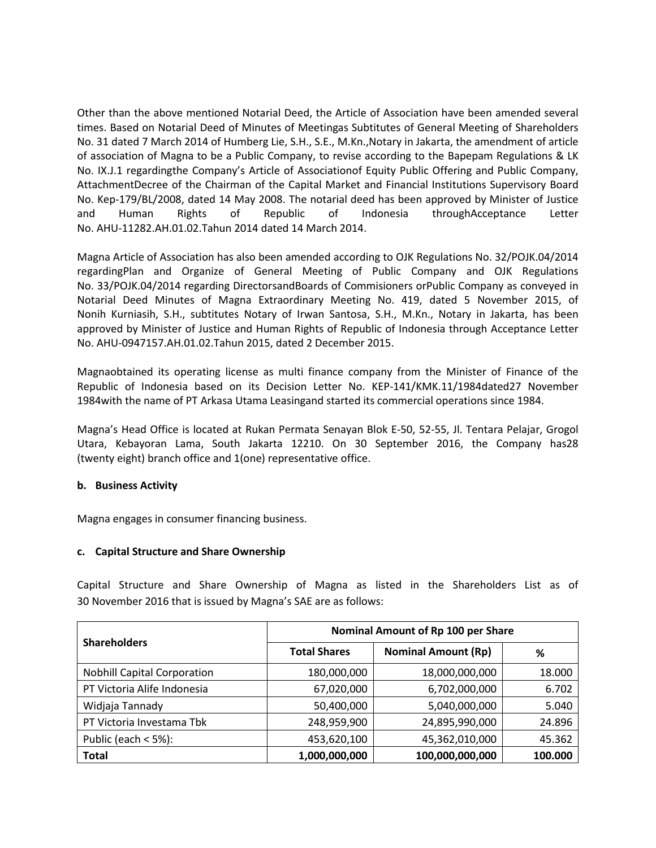Other than the above mentioned Notarial Deed, the Article of Association have been amended several times. Based on Notarial Deed of Minutes of Meetingas Subtitutes of General Meeting of Shareholders No. 31 dated 7 March 2014 of Humberg Lie, S.H., S.E., M.Kn.,Notary in Jakarta, the amendment of article of association of Magna to be a Public Company, to revise according to the Bapepam Regulations & LK No. IX.J.1 regardingthe Company's Article of Associationof Equity Public Offering and Public Company, AttachmentDecree of the Chairman of the Capital Market and Financial Institutions Supervisory Board No. Kep-179/BL/2008, dated 14 May 2008. The notarial deed has been approved by Minister of Justice and Human Rights of Republic of Indonesia throughAcceptance Letter No. AHU-11282.AH.01.02.Tahun 2014 dated 14 March 2014.

Magna Article of Association has also been amended according to OJK Regulations No. 32/POJK.04/2014 regardingPlan and Organize of General Meeting of Public Company and OJK Regulations No. 33/POJK.04/2014 regarding DirectorsandBoards of Commisioners orPublic Company as conveyed in Notarial Deed Minutes of Magna Extraordinary Meeting No. 419, dated 5 November 2015, of Nonih Kurniasih, S.H., subtitutes Notary of Irwan Santosa, S.H., M.Kn., Notary in Jakarta, has been approved by Minister of Justice and Human Rights of Republic of Indonesia through Acceptance Letter No. AHU-0947157.AH.01.02.Tahun 2015, dated 2 December 2015.

Magnaobtained its operating license as multi finance company from the Minister of Finance of the Republic of Indonesia based on its Decision Letter No. KEP-141/KMK.11/1984dated27 November 1984with the name of PT Arkasa Utama Leasingand started its commercial operations since 1984.

Magna's Head Office is located at Rukan Permata Senayan Blok E-50, 52-55, Jl. Tentara Pelajar, Grogol Utara, Kebayoran Lama, South Jakarta 12210. On 30 September 2016, the Company has28 (twenty eight) branch office and 1(one) representative office.

## **b. Business Activity**

Magna engages in consumer financing business.

#### **c. Capital Structure and Share Ownership**

Capital Structure and Share Ownership of Magna as listed in the Shareholders List as of 30 November 2016 that is issued by Magna's SAE are as follows:

| <b>Shareholders</b>                | Nominal Amount of Rp 100 per Share |                            |         |  |
|------------------------------------|------------------------------------|----------------------------|---------|--|
|                                    | <b>Total Shares</b>                | <b>Nominal Amount (Rp)</b> | ℅       |  |
| <b>Nobhill Capital Corporation</b> | 180,000,000                        | 18,000,000,000             | 18.000  |  |
| PT Victoria Alife Indonesia        | 67,020,000                         | 6,702,000,000              | 6.702   |  |
| Widjaja Tannady                    | 50,400,000                         | 5,040,000,000              | 5.040   |  |
| PT Victoria Investama Tbk          | 248,959,900                        | 24,895,990,000             | 24.896  |  |
| Public (each $<$ 5%):              | 453,620,100                        | 45,362,010,000             | 45.362  |  |
| <b>Total</b>                       | 1,000,000,000                      | 100,000,000,000            | 100.000 |  |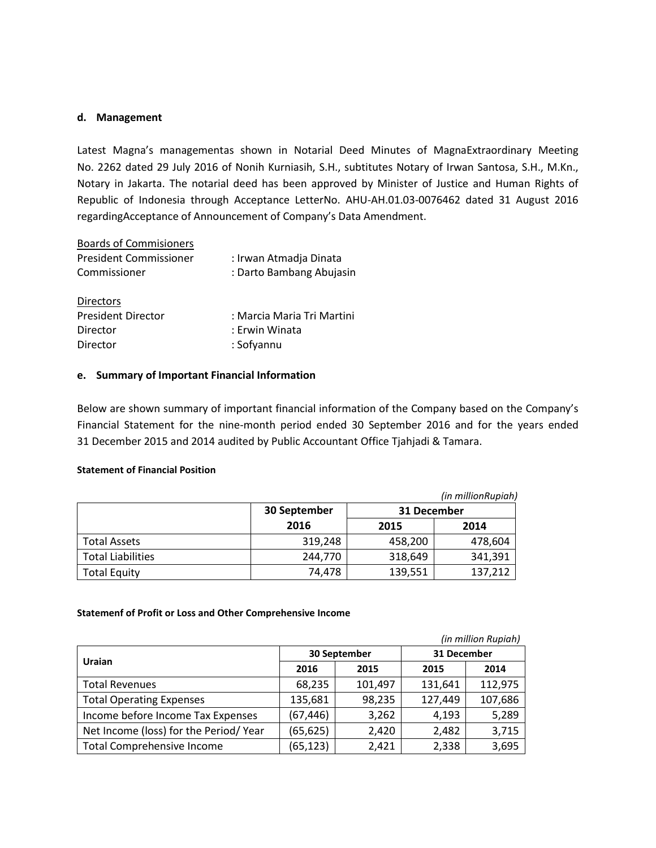#### **d. Management**

Latest Magna's managementas shown in Notarial Deed Minutes of MagnaExtraordinary Meeting No. 2262 dated 29 July 2016 of Nonih Kurniasih, S.H., subtitutes Notary of Irwan Santosa, S.H., M.Kn., Notary in Jakarta. The notarial deed has been approved by Minister of Justice and Human Rights of Republic of Indonesia through Acceptance LetterNo. AHU-AH.01.03-0076462 dated 31 August 2016 regardingAcceptance of Announcement of Company's Data Amendment.

| <b>Boards of Commisioners</b> |                            |
|-------------------------------|----------------------------|
| <b>President Commissioner</b> | : Irwan Atmadja Dinata     |
| Commissioner                  | : Darto Bambang Abujasin   |
| <b>Directors</b>              |                            |
| <b>President Director</b>     | : Marcia Maria Tri Martini |
| Director                      | : Erwin Winata             |
| Director                      | : Sofyannu                 |

#### **e. Summary of Important Financial Information**

Below are shown summary of important financial information of the Company based on the Company's Financial Statement for the nine-month period ended 30 September 2016 and for the years ended 31 December 2015 and 2014 audited by Public Accountant Office Tjahjadi & Tamara.

#### **Statement of Financial Position**

|                          |              |             | (in millionRupiah) |  |
|--------------------------|--------------|-------------|--------------------|--|
|                          | 30 September | 31 December |                    |  |
|                          | 2016         | 2015        | 2014               |  |
| <b>Total Assets</b>      | 319,248      | 458,200     | 478,604            |  |
| <b>Total Liabilities</b> | 244.770      | 318,649     | 341,391            |  |
| Total Equity             | 74,478       | 139,551     | 137,212            |  |

#### **Statemenf of Profit or Loss and Other Comprehensive Income**

| (in million Rupiah)                   |           |              |             |         |  |
|---------------------------------------|-----------|--------------|-------------|---------|--|
| Uraian                                |           | 30 September | 31 December |         |  |
|                                       | 2016      | 2015         | 2015        | 2014    |  |
| <b>Total Revenues</b>                 | 68,235    | 101,497      | 131,641     | 112,975 |  |
| <b>Total Operating Expenses</b>       | 135,681   | 98,235       | 127,449     | 107,686 |  |
| Income before Income Tax Expenses     | (67,446)  | 3,262        | 4,193       | 5,289   |  |
| Net Income (loss) for the Period/Year | (65, 625) | 2,420        | 2,482       | 3,715   |  |
| <b>Total Comprehensive Income</b>     | (65, 123) | 2,421        | 2,338       | 3,695   |  |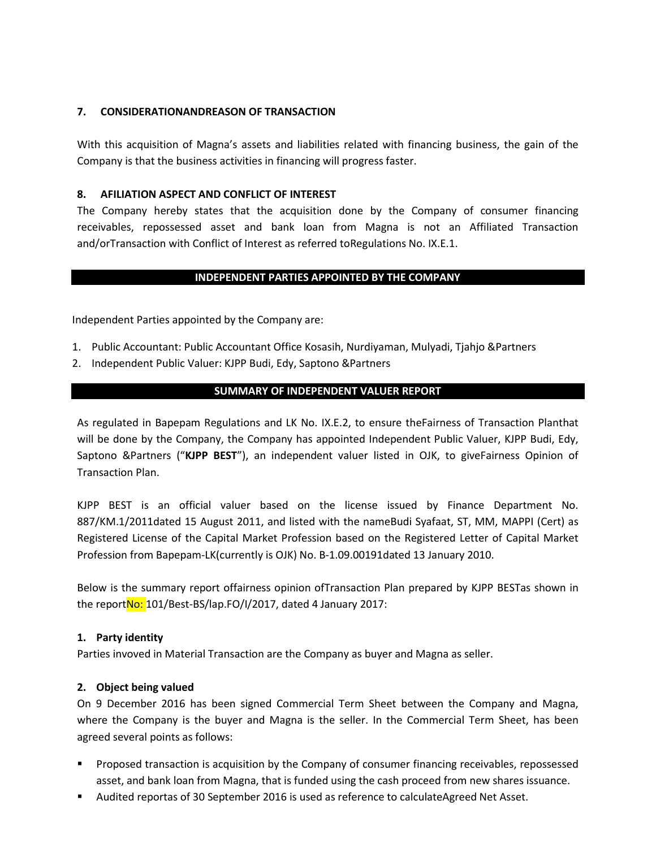## **7. CONSIDERATIONANDREASON OF TRANSACTION**

With this acquisition of Magna's assets and liabilities related with financing business, the gain of the Company is that the business activities in financing will progress faster.

## **8. AFILIATION ASPECT AND CONFLICT OF INTEREST**

The Company hereby states that the acquisition done by the Company of consumer financing receivables, repossessed asset and bank loan from Magna is not an Affiliated Transaction and/orTransaction with Conflict of Interest as referred toRegulations No. IX.E.1.

## **INDEPENDENT PARTIES APPOINTED BY THE COMPANY**

Independent Parties appointed by the Company are:

- 1. Public Accountant: Public Accountant Office Kosasih, Nurdiyaman, Mulyadi, Tjahjo &Partners
- 2. Independent Public Valuer: KJPP Budi, Edy, Saptono &Partners

## **SUMMARY OF INDEPENDENT VALUER REPORT**

As regulated in Bapepam Regulations and LK No. IX.E.2, to ensure theFairness of Transaction Planthat will be done by the Company, the Company has appointed Independent Public Valuer, KJPP Budi, Edy, Saptono &Partners ("**KJPP BEST**"), an independent valuer listed in OJK, to giveFairness Opinion of Transaction Plan.

KJPP BEST is an official valuer based on the license issued by Finance Department No. 887/KM.1/2011dated 15 August 2011, and listed with the nameBudi Syafaat, ST, MM, MAPPI (Cert) as Registered License of the Capital Market Profession based on the Registered Letter of Capital Market Profession from Bapepam-LK(currently is OJK) No. B-1.09.00191dated 13 January 2010.

Below is the summary report offairness opinion ofTransaction Plan prepared by KJPP BESTas shown in the report No: 101/Best-BS/lap.FO/I/2017, dated 4 January 2017:

## **1. Party identity**

Parties invoved in Material Transaction are the Company as buyer and Magna as seller.

## **2. Object being valued**

On 9 December 2016 has been signed Commercial Term Sheet between the Company and Magna, where the Company is the buyer and Magna is the seller. In the Commercial Term Sheet, has been agreed several points as follows:

- Proposed transaction is acquisition by the Company of consumer financing receivables, repossessed asset, and bank loan from Magna, that is funded using the cash proceed from new shares issuance.
- Audited reportas of 30 September 2016 is used as reference to calculateAgreed Net Asset.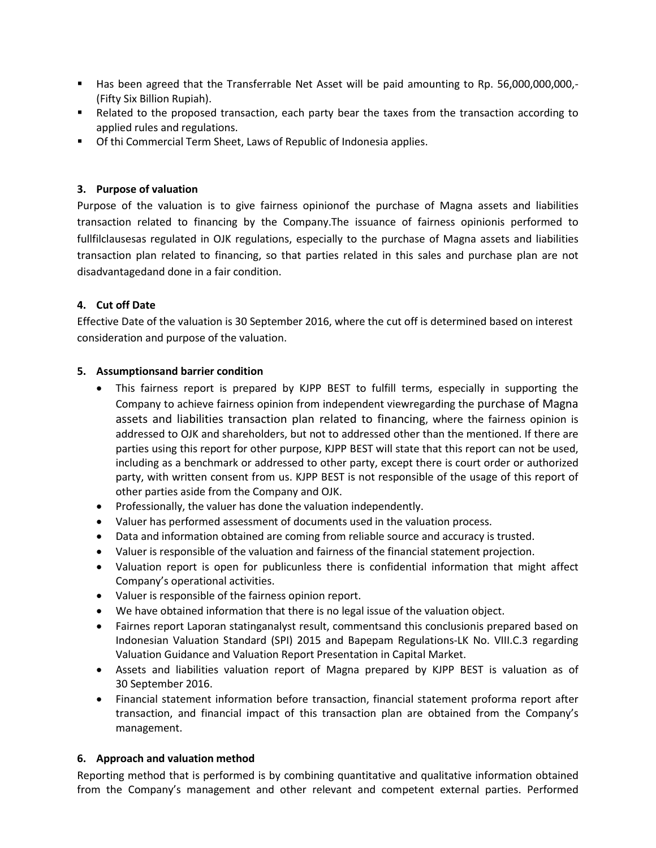- Has been agreed that the Transferrable Net Asset will be paid amounting to Rp. 56,000,000,000,- (Fifty Six Billion Rupiah).
- **EXECT** Related to the proposed transaction, each party bear the taxes from the transaction according to applied rules and regulations.
- Of thi Commercial Term Sheet, Laws of Republic of Indonesia applies.

## **3. Purpose of valuation**

Purpose of the valuation is to give fairness opinionof the purchase of Magna assets and liabilities transaction related to financing by the Company.The issuance of fairness opinionis performed to fullfilclausesas regulated in OJK regulations, especially to the purchase of Magna assets and liabilities transaction plan related to financing, so that parties related in this sales and purchase plan are not disadvantagedand done in a fair condition.

## **4. Cut off Date**

Effective Date of the valuation is 30 September 2016, where the cut off is determined based on interest consideration and purpose of the valuation.

## **5. Assumptionsand barrier condition**

- This fairness report is prepared by KJPP BEST to fulfill terms, especially in supporting the Company to achieve fairness opinion from independent viewregarding the purchase of Magna assets and liabilities transaction plan related to financing, where the fairness opinion is addressed to OJK and shareholders, but not to addressed other than the mentioned. If there are parties using this report for other purpose, KJPP BEST will state that this report can not be used, including as a benchmark or addressed to other party, except there is court order or authorized party, with written consent from us. KJPP BEST is not responsible of the usage of this report of other parties aside from the Company and OJK.
- Professionally, the valuer has done the valuation independently.
- Valuer has performed assessment of documents used in the valuation process.
- Data and information obtained are coming from reliable source and accuracy is trusted.
- Valuer is responsible of the valuation and fairness of the financial statement projection.
- Valuation report is open for publicunless there is confidential information that might affect Company's operational activities.
- Valuer is responsible of the fairness opinion report.
- We have obtained information that there is no legal issue of the valuation object.
- Fairnes report Laporan statinganalyst result, commentsand this conclusionis prepared based on Indonesian Valuation Standard (SPI) 2015 and Bapepam Regulations-LK No. VIII.C.3 regarding Valuation Guidance and Valuation Report Presentation in Capital Market.
- Assets and liabilities valuation report of Magna prepared by KJPP BEST is valuation as of 30 September 2016.
- Financial statement information before transaction, financial statement proforma report after transaction, and financial impact of this transaction plan are obtained from the Company's management.

## **6. Approach and valuation method**

Reporting method that is performed is by combining quantitative and qualitative information obtained from the Company's management and other relevant and competent external parties. Performed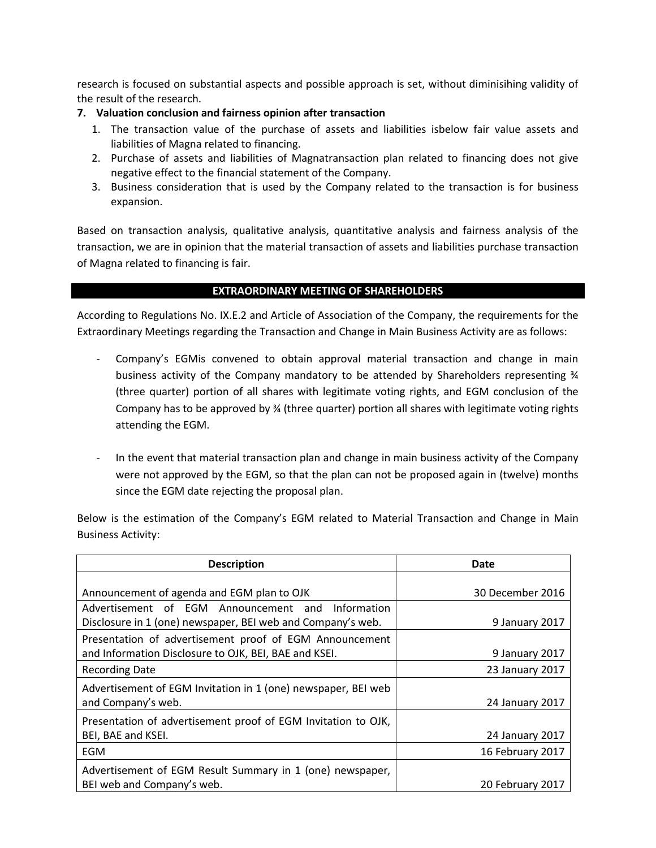research is focused on substantial aspects and possible approach is set, without diminisihing validity of the result of the research.

## **7. Valuation conclusion and fairness opinion after transaction**

- 1. The transaction value of the purchase of assets and liabilities isbelow fair value assets and liabilities of Magna related to financing.
- 2. Purchase of assets and liabilities of Magnatransaction plan related to financing does not give negative effect to the financial statement of the Company.
- 3. Business consideration that is used by the Company related to the transaction is for business expansion.

Based on transaction analysis, qualitative analysis, quantitative analysis and fairness analysis of the transaction, we are in opinion that the material transaction of assets and liabilities purchase transaction of Magna related to financing is fair.

## **EXTRAORDINARY MEETING OF SHAREHOLDERS**

According to Regulations No. IX.E.2 and Article of Association of the Company, the requirements for the Extraordinary Meetings regarding the Transaction and Change in Main Business Activity are as follows:

- Company's EGMis convened to obtain approval material transaction and change in main business activity of the Company mandatory to be attended by Shareholders representing ¾ (three quarter) portion of all shares with legitimate voting rights, and EGM conclusion of the Company has to be approved by ¾ (three quarter) portion all shares with legitimate voting rights attending the EGM.
- In the event that material transaction plan and change in main business activity of the Company were not approved by the EGM, so that the plan can not be proposed again in (twelve) months since the EGM date rejecting the proposal plan.

Below is the estimation of the Company's EGM related to Material Transaction and Change in Main Business Activity:

| <b>Description</b>                                                                                                                                             | Date                               |
|----------------------------------------------------------------------------------------------------------------------------------------------------------------|------------------------------------|
| Announcement of agenda and EGM plan to OJK<br>Advertisement of EGM Announcement and Information<br>Disclosure in 1 (one) newspaper, BEI web and Company's web. | 30 December 2016<br>9 January 2017 |
| Presentation of advertisement proof of EGM Announcement<br>and Information Disclosure to OJK, BEI, BAE and KSEI.                                               | 9 January 2017                     |
| <b>Recording Date</b>                                                                                                                                          | 23 January 2017                    |
| Advertisement of EGM Invitation in 1 (one) newspaper, BEI web<br>and Company's web.                                                                            | 24 January 2017                    |
| Presentation of advertisement proof of EGM Invitation to OJK,<br>BEI, BAE and KSEI.                                                                            | 24 January 2017                    |
| <b>EGM</b>                                                                                                                                                     | 16 February 2017                   |
| Advertisement of EGM Result Summary in 1 (one) newspaper,<br>BEI web and Company's web.                                                                        | 20 February 2017                   |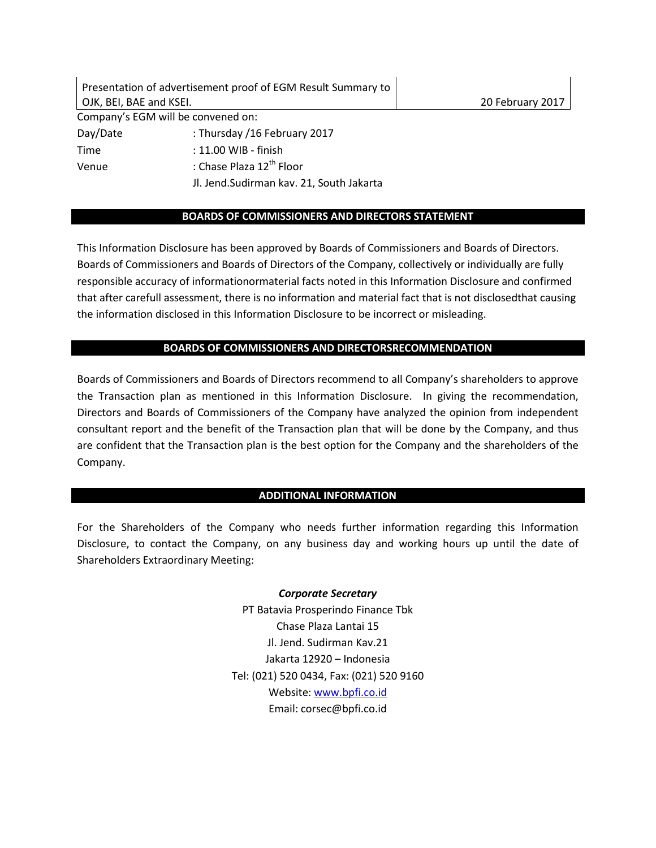Presentation of advertisement proof of EGM Result Summary to OJK, BEI, BAE and KSEI. 20 February 2017 Company's EGM will be convened on: Day/Date : Thursday /16 February 2017 Time : 11.00 WIB - finish Venue : Chase Plaza 12<sup>th</sup> Floor Jl. Jend.Sudirman kav. 21, South Jakarta

## **BOARDS OF COMMISSIONERS AND DIRECTORS STATEMENT**

This Information Disclosure has been approved by Boards of Commissioners and Boards of Directors. Boards of Commissioners and Boards of Directors of the Company, collectively or individually are fully responsible accuracy of informationormaterial facts noted in this Information Disclosure and confirmed that after carefull assessment, there is no information and material fact that is not disclosedthat causing the information disclosed in this Information Disclosure to be incorrect or misleading.

## **BOARDS OF COMMISSIONERS AND DIRECTORSRECOMMENDATION**

Boards of Commissioners and Boards of Directors recommend to all Company's shareholders to approve the Transaction plan as mentioned in this Information Disclosure. In giving the recommendation, Directors and Boards of Commissioners of the Company have analyzed the opinion from independent consultant report and the benefit of the Transaction plan that will be done by the Company, and thus are confident that the Transaction plan is the best option for the Company and the shareholders of the Company.

## **ADDITIONAL INFORMATION**

For the Shareholders of the Company who needs further information regarding this Information Disclosure, to contact the Company, on any business day and working hours up until the date of Shareholders Extraordinary Meeting:

> *Corporate Secretary* PT Batavia Prosperindo Finance Tbk Chase Plaza Lantai 15 Jl. Jend. Sudirman Kav.21 Jakarta 12920 – Indonesia Tel: (021) 520 0434, Fax: (021) 520 9160 Website: www.bpfi.co.id Email: corsec@bpfi.co.id